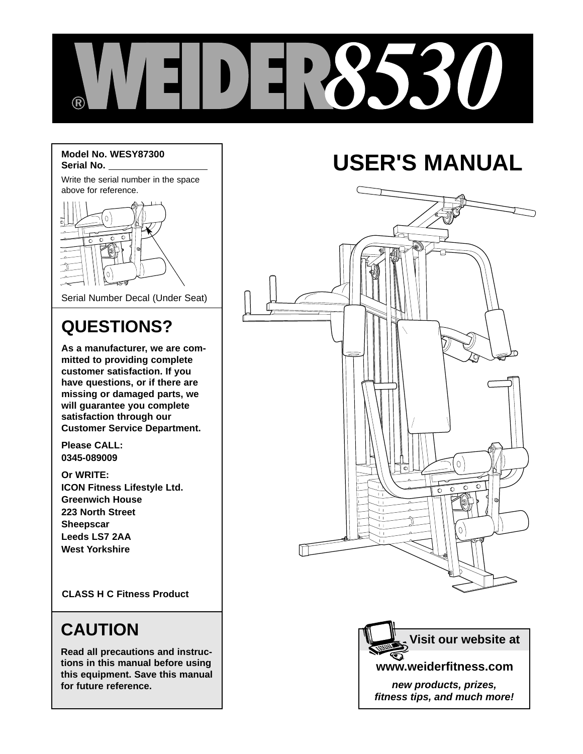

#### **Model No. WESY87300 Serial No.**

Write the serial number in the space above for reference.



Serial Number Decal (Under Seat)

## **QUESTIONS?**

**As a manufacturer, we are committed to providing complete customer satisfaction. If you have questions, or if there are missing or damaged parts, we will guarantee you complete satisfaction through our Customer Service Department.**

**Please CALL: 0345-089009**

**Or WRITE: ICON Fitness Lifestyle Ltd. Greenwich House 223 North Street Sheepscar Leeds LS7 2AA West Yorkshire**

**CLASS H C Fitness Product**

## **CAUTION**

**Read all precautions and instructions in this manual before using this equipment. Save this manual for future reference.**

# **USER'S MANUAL**





**fitness tips, and much more!**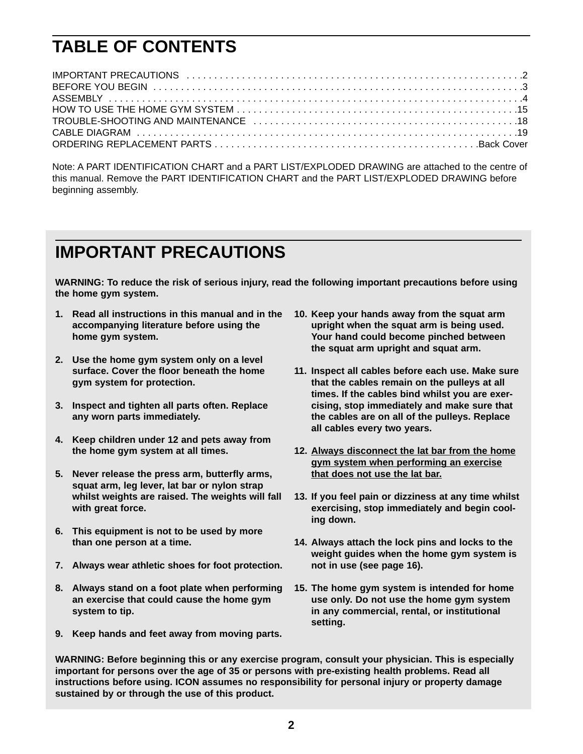## **TABLE OF CONTENTS**

Note: A PART IDENTIFICATION CHART and a PART LIST/EXPLODED DRAWING are attached to the centre of this manual. Remove the PART IDENTIFICATION CHART and the PART LIST/EXPLODED DRAWING before beginning assembly.

## **IMPORTANT PRECAUTIONS**

**WARNING: To reduce the risk of serious injury, read the following important precautions before using the home gym system.**

- **1. Read all instructions in this manual and in the accompanying literature before using the home gym system.**
- **2. Use the home gym system only on a level surface. Cover the floor beneath the home gym system for protection.**
- **3. Inspect and tighten all parts often. Replace any worn parts immediately.**
- **4. Keep children under 12 and pets away from the home gym system at all times.**
- **5. Never release the press arm, butterfly arms, squat arm, leg lever, lat bar or nylon strap whilst weights are raised. The weights will fall with great force.**
- **6. This equipment is not to be used by more than one person at a time.**
- **7. Always wear athletic shoes for foot protection.**
- **8. Always stand on a foot plate when performing an exercise that could cause the home gym system to tip.**
- **9. Keep hands and feet away from moving parts.**
- **10. Keep your hands away from the squat arm upright when the squat arm is being used. Your hand could become pinched between the squat arm upright and squat arm.**
- **11. Inspect all cables before each use. Make sure that the cables remain on the pulleys at all times. If the cables bind whilst you are exercising, stop immediately and make sure that the cables are on all of the pulleys. Replace all cables every two years.**
- **12. Always disconnect the lat bar from the home gym system when performing an exercise that does not use the lat bar.**
- **13. If you feel pain or dizziness at any time whilst exercising, stop immediately and begin cooling down.**
- **14. Always attach the lock pins and locks to the weight guides when the home gym system is not in use (see page 16).**
- **15. The home gym system is intended for home use only. Do not use the home gym system in any commercial, rental, or institutional setting.**

**WARNING: Before beginning this or any exercise program, consult your physician. This is especially important for persons over the age of 35 or persons with pre-existing health problems. Read all instructions before using. ICON assumes no responsibility for personal injury or property damage sustained by or through the use of this product.**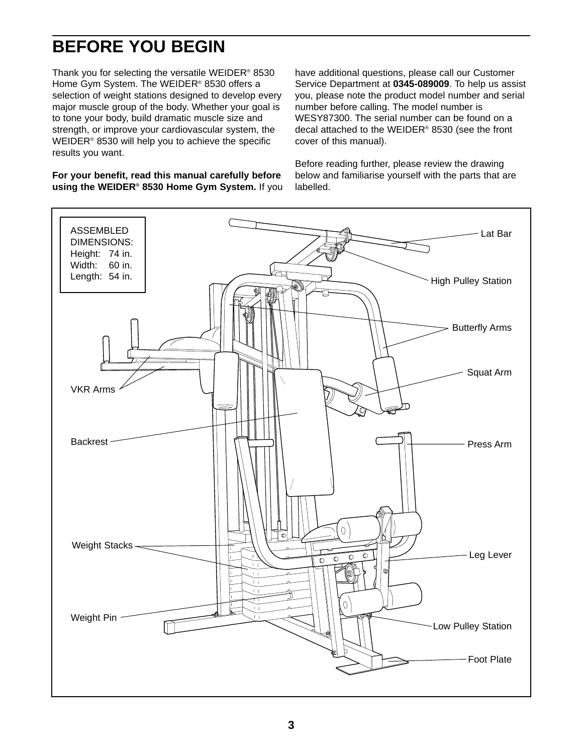## **BEFORE YOU BEGIN**

Thank you for selecting the versatile WEIDER® 8530 Home Gym System. The WEIDER® 8530 offers a selection of weight stations designed to develop every major muscle group of the body. Whether your goal is to tone your body, build dramatic muscle size and strength, or improve your cardiovascular system, the WEIDER® 8530 will help you to achieve the specific results you want.

**For your benefit, read this manual carefully before using the WEIDER® 8530 Home Gym System.** If you have additional questions, please call our Customer Service Department at **0345-089009**. To help us assist you, please note the product model number and serial number before calling. The model number is WESY87300. The serial number can be found on a decal attached to the WEIDER® 8530 (see the front cover of this manual).

Before reading further, please review the drawing below and familiarise yourself with the parts that are labelled.

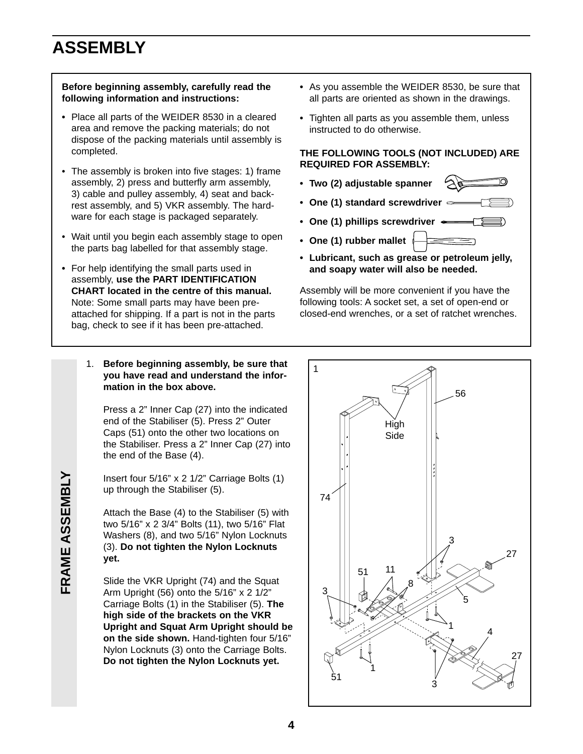## **ASSEMBLY**

#### **Before beginning assembly, carefully read the following information and instructions:**

- **•** Place all parts of the WEIDER 8530 in a cleared area and remove the packing materials; do not dispose of the packing materials until assembly is completed.
- The assembly is broken into five stages: 1) frame assembly, 2) press and butterfly arm assembly, 3) cable and pulley assembly, 4) seat and backrest assembly, and 5) VKR assembly. The hardware for each stage is packaged separately.
- Wait until you begin each assembly stage to open the parts bag labelled for that assembly stage.
- **•** For help identifying the small parts used in assembly, **use the PART IDENTIFICATION CHART located in the centre of this manual.** Note: Some small parts may have been preattached for shipping. If a part is not in the parts bag, check to see if it has been pre-attached.
	- 1. **Before beginning assembly, be sure that you have read and understand the information in the box above.**

Press a 2" Inner Cap (27) into the indicated end of the Stabiliser (5). Press 2" Outer Caps (51) onto the other two locations on the Stabiliser. Press a 2" Inner Cap (27) into the end of the Base (4).

Insert four 5/16" x 2 1/2" Carriage Bolts (1) up through the Stabiliser (5).

Attach the Base (4) to the Stabiliser (5) with two 5/16" x 2 3/4" Bolts (11), two 5/16" Flat Washers (8), and two 5/16" Nylon Locknuts (3). **Do not tighten the Nylon Locknuts yet.**

Slide the VKR Upright (74) and the Squat Arm Upright (56) onto the 5/16" x 2 1/2" Carriage Bolts (1) in the Stabiliser (5). **The high side of the brackets on the VKR Upright and Squat Arm Upright should be on the side shown.** Hand-tighten four 5/16" Nylon Locknuts (3) onto the Carriage Bolts. **Do not tighten the Nylon Locknuts yet.**

- **•** As you assemble the WEIDER 8530, be sure that all parts are oriented as shown in the drawings.
- **•** Tighten all parts as you assemble them, unless instructed to do otherwise.

#### **THE FOLLOWING TOOLS (NOT INCLUDED) ARE REQUIRED FOR ASSEMBLY:**

- **Two (2) adjustable spanner**
- **One (1) standard screwdriver**
- **One (1) phillips screwdriver**
- **One (1) rubber mallet**
- **Lubricant, such as grease or petroleum jelly, and soapy water will also be needed.**

Assembly will be more convenient if you have the following tools: A socket set, a set of open-end or closed-end wrenches, or a set of ratchet wrenches.

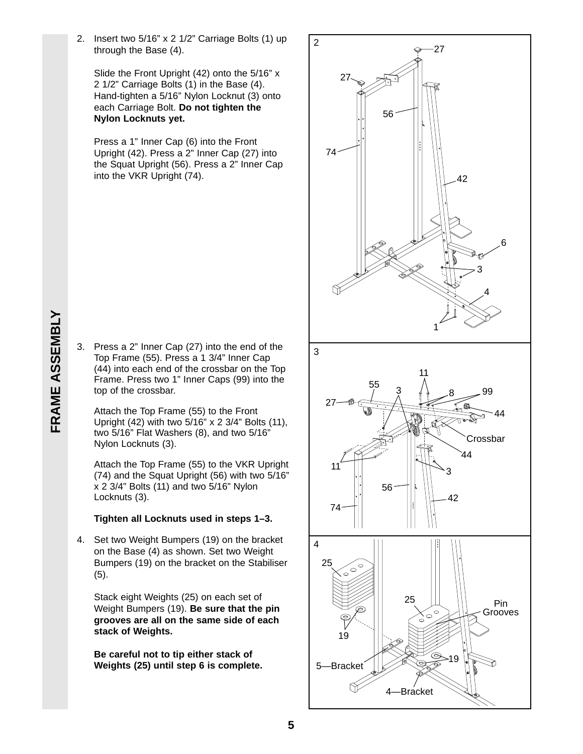2. Insert two 5/16" x 2 1/2" Carriage Bolts (1) up through the Base (4).

Slide the Front Upright (42) onto the 5/16" x 2 1/2" Carriage Bolts (1) in the Base (4). Hand-tighten a 5/16" Nylon Locknut (3) onto each Carriage Bolt. **Do not tighten the Nylon Locknuts yet.**

Press a 1" Inner Cap (6) into the Front Upright (42). Press a 2" Inner Cap (27) into the Squat Upright (56). Press a 2" Inner Cap into the VKR Upright (74).

- **FRAME ASSEMBLY FRAME ASSEMBLY**
- 3. Press a 2" Inner Cap (27) into the end of the Top Frame (55). Press a 1 3/4" Inner Cap (44) into each end of the crossbar on the Top Frame. Press two 1" Inner Caps (99) into the top of the crossbar.

Attach the Top Frame (55) to the Front Upright (42) with two 5/16" x 2 3/4" Bolts (11), two 5/16" Flat Washers (8), and two 5/16" Nylon Locknuts (3).

Attach the Top Frame (55) to the VKR Upright (74) and the Squat Upright (56) with two 5/16" x 2 3/4" Bolts (11) and two 5/16" Nylon Locknuts (3).

#### **Tighten all Locknuts used in steps 1–3.**

4. Set two Weight Bumpers (19) on the bracket on the Base (4) as shown. Set two Weight Bumpers (19) on the bracket on the Stabiliser (5).

Stack eight Weights (25) on each set of Weight Bumpers (19). **Be sure that the pin grooves are all on the same side of each stack of Weights.**

**Be careful not to tip either stack of Weights (25) until step 6 is complete.**

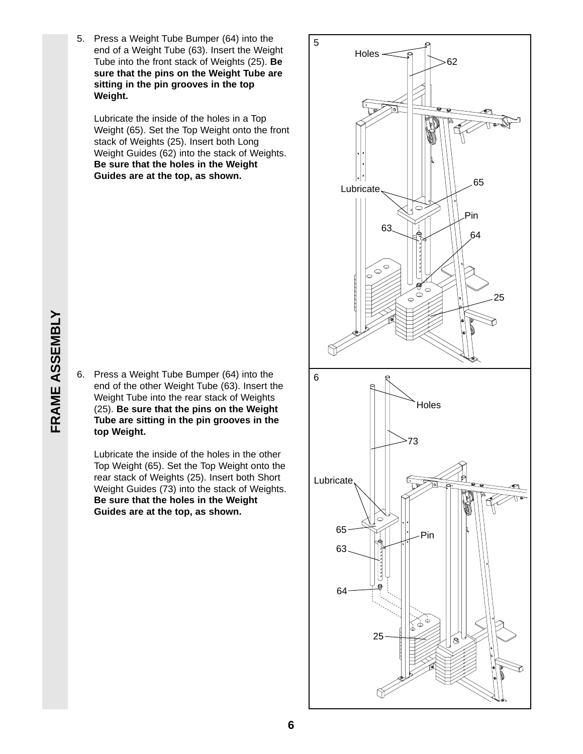5. Press a Weight Tube Bumper (64) into the end of a Weight Tube (63). Insert the Weight Tube into the front stack of Weights (25). **Be sure that the pins on the Weight Tube are sitting in the pin grooves in the top Weight.**

Lubricate the inside of the holes in a Top Weight (65). Set the Top Weight onto the front stack of Weights (25). Insert both Long Weight Guides (62) into the stack of Weights. **Be sure that the holes in the Weight Guides are at the top, as shown.**

6. Press a Weight Tube Bumper (64) into the end of the other Weight Tube (63). Insert the Weight Tube into the rear stack of Weights (25). **Be sure that the pins on the Weight Tube are sitting in the pin grooves in the top Weight.**

Lubricate the inside of the holes in the other Top Weight (65). Set the Top Weight onto the rear stack of Weights (25). Insert both Short Weight Guides (73) into the stack of Weights. **Be sure that the holes in the Weight Guides are at the top, as shown.**

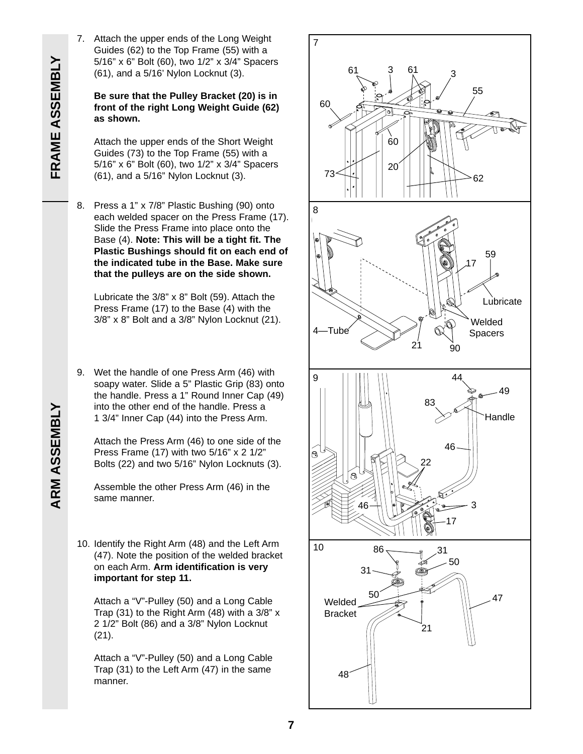7. Attach the upper ends of the Long Weight Guides (62) to the Top Frame (55) with a 5/16" x 6" Bolt (60), two 1/2" x 3/4" Spacers (61), and a 5/16' Nylon Locknut (3).

**Be sure that the Pulley Bracket (20) is in front of the right Long Weight Guide (62) as shown.**

Attach the upper ends of the Short Weight Guides (73) to the Top Frame (55) with a 5/16" x 6" Bolt (60), two 1/2" x 3/4" Spacers (61), and a 5/16" Nylon Locknut (3).

8. Press a 1" x 7/8" Plastic Bushing (90) onto each welded spacer on the Press Frame (17). Slide the Press Frame into place onto the Base (4). **Note: This will be a tight fit. The Plastic Bushings should fit on each end of the indicated tube in the Base. Make sure that the pulleys are on the side shown.**

Lubricate the 3/8" x 8" Bolt (59). Attach the Press Frame (17) to the Base (4) with the 3/8" x 8" Bolt and a 3/8" Nylon Locknut (21).

9. Wet the handle of one Press Arm (46) with soapy water. Slide a 5" Plastic Grip (83) onto the handle. Press a 1" Round Inner Cap (49) into the other end of the handle. Press a 1 3/4" Inner Cap (44) into the Press Arm.

Attach the Press Arm (46) to one side of the Press Frame (17) with two 5/16" x 2 1/2" Bolts (22) and two 5/16" Nylon Locknuts (3).

Assemble the other Press Arm (46) in the same manner.

10. Identify the Right Arm (48) and the Left Arm (47). Note the position of the welded bracket on each Arm. **Arm identification is very important for step 11.**

Attach a "V"-Pulley (50) and a Long Cable Trap (31) to the Right Arm (48) with a 3/8" x 2 1/2" Bolt (86) and a 3/8" Nylon Locknut (21).

Attach a "V"-Pulley (50) and a Long Cable Trap (31) to the Left Arm (47) in the same manner.



# **ARM ASSEMBLY**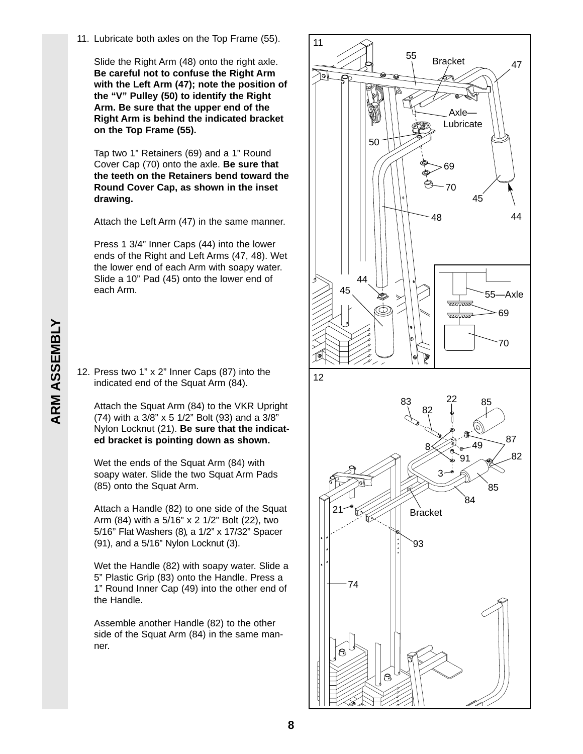11. Lubricate both axles on the Top Frame (55).

Slide the Right Arm (48) onto the right axle. **Be careful not to confuse the Right Arm with the Left Arm (47); note the position of the "V" Pulley (50) to identify the Right Arm. Be sure that the upper end of the Right Arm is behind the indicated bracket on the Top Frame (55).**

Tap two 1" Retainers (69) and a 1" Round Cover Cap (70) onto the axle. **Be sure that the teeth on the Retainers bend toward the Round Cover Cap, as shown in the inset drawing.**

Attach the Left Arm (47) in the same manner.

Press 1 3/4" Inner Caps (44) into the lower ends of the Right and Left Arms (47, 48). Wet the lower end of each Arm with soapy water. Slide a 10" Pad (45) onto the lower end of each Arm.

12. Press two 1" x 2" Inner Caps (87) into the indicated end of the Squat Arm (84).

Attach the Squat Arm (84) to the VKR Upright (74) with a 3/8" x 5 1/2" Bolt (93) and a 3/8" Nylon Locknut (21). **Be sure that the indicated bracket is pointing down as shown.**

Wet the ends of the Squat Arm (84) with soapy water. Slide the two Squat Arm Pads (85) onto the Squat Arm.

Attach a Handle (82) to one side of the Squat Arm (84) with a 5/16" x 2 1/2" Bolt (22), two 5/16" Flat Washers (8), a 1/2" x 17/32" Spacer (91), and a 5/16" Nylon Locknut (3).

Wet the Handle (82) with soapy water. Slide a 5" Plastic Grip (83) onto the Handle. Press a 1" Round Inner Cap (49) into the other end of the Handle.

Assemble another Handle (82) to the other side of the Squat Arm (84) in the same manner.



**8**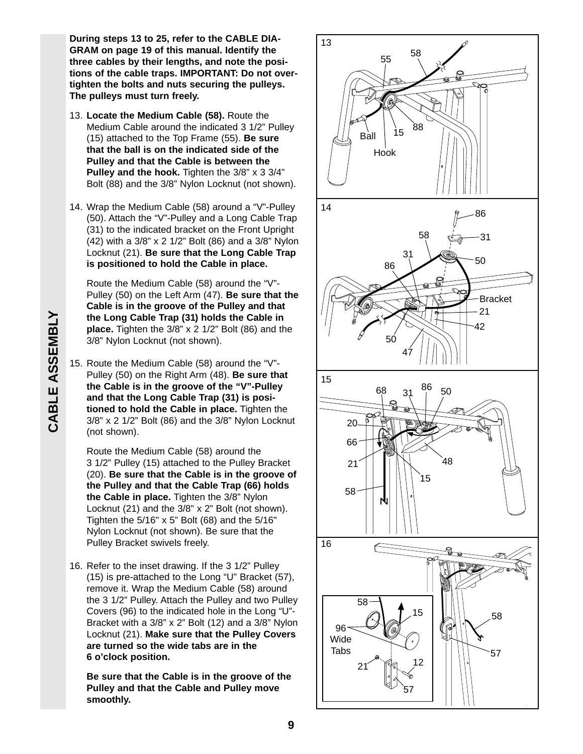**During steps 13 to 25, refer to the CABLE DIA-GRAM on page 19 of this manual. Identify the three cables by their lengths, and note the positions of the cable traps. IMPORTANT: Do not overtighten the bolts and nuts securing the pulleys. The pulleys must turn freely.**

- 13. **Locate the Medium Cable (58).** Route the Medium Cable around the indicated 3 1/2" Pulley (15) attached to the Top Frame (55). **Be sure that the ball is on the indicated side of the Pulley and that the Cable is between the Pulley and the hook.** Tighten the 3/8" x 3 3/4" Bolt (88) and the 3/8" Nylon Locknut (not shown).
- 14. Wrap the Medium Cable (58) around a "V"-Pulley (50). Attach the "V"-Pulley and a Long Cable Trap (31) to the indicated bracket on the Front Upright (42) with a 3/8" x 2 1/2" Bolt (86) and a 3/8" Nylon Locknut (21). **Be sure that the Long Cable Trap is positioned to hold the Cable in place.**

Route the Medium Cable (58) around the "V"- Pulley (50) on the Left Arm (47). **Be sure that the Cable is in the groove of the Pulley and that the Long Cable Trap (31) holds the Cable in place.** Tighten the 3/8" x 2 1/2" Bolt (86) and the 3/8" Nylon Locknut (not shown).

15. Route the Medium Cable (58) around the "V"- Pulley (50) on the Right Arm (48). **Be sure that the Cable is in the groove of the "V"-Pulley and that the Long Cable Trap (31) is positioned to hold the Cable in place.** Tighten the 3/8" x 2 1/2" Bolt (86) and the 3/8" Nylon Locknut (not shown).

Route the Medium Cable (58) around the 3 1/2" Pulley (15) attached to the Pulley Bracket (20). **Be sure that the Cable is in the groove of the Pulley and that the Cable Trap (66) holds the Cable in place.** Tighten the 3/8" Nylon Locknut (21) and the 3/8" x 2" Bolt (not shown). Tighten the 5/16" x 5" Bolt (68) and the 5/16" Nylon Locknut (not shown). Be sure that the Pulley Bracket swivels freely.

16. Refer to the inset drawing. If the 3 1/2" Pulley (15) is pre-attached to the Long "U" Bracket (57), remove it. Wrap the Medium Cable (58) around the 3 1/2" Pulley. Attach the Pulley and two Pulley Covers (96) to the indicated hole in the Long "U"- Bracket with a 3/8" x 2" Bolt (12) and a 3/8" Nylon Locknut (21). **Make sure that the Pulley Covers are turned so the wide tabs are in the 6 o'clock position.** 

**Be sure that the Cable is in the groove of the Pulley and that the Cable and Pulley move smoothly.**



**CABLE ASSEMBLY CABLE ASSEMBLY**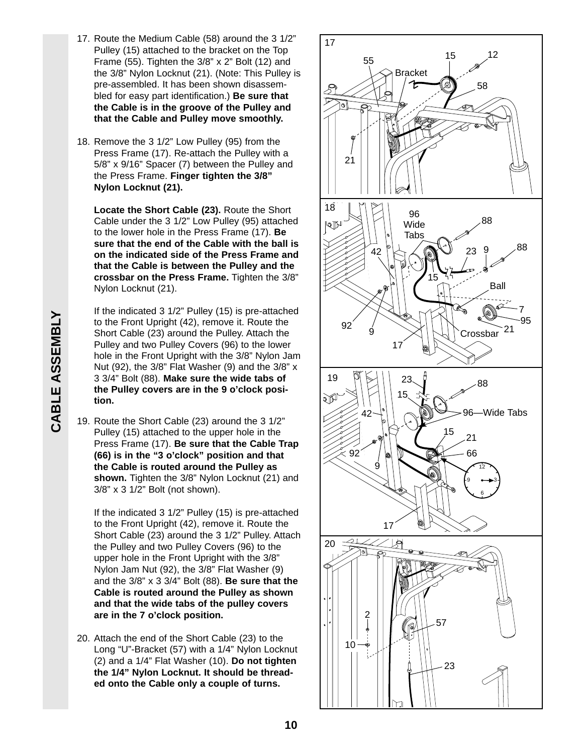- 17. Route the Medium Cable (58) around the 3 1/2" Pulley (15) attached to the bracket on the Top Frame (55). Tighten the 3/8" x 2" Bolt (12) and the 3/8" Nylon Locknut (21). (Note: This Pulley is pre-assembled. It has been shown disassembled for easy part identification.) **Be sure that the Cable is in the groove of the Pulley and that the Cable and Pulley move smoothly.**
- 18. Remove the 3 1/2" Low Pulley (95) from the Press Frame (17). Re-attach the Pulley with a 5/8" x 9/16" Spacer (7) between the Pulley and the Press Frame. **Finger tighten the 3/8" Nylon Locknut (21).**

**Locate the Short Cable (23).** Route the Short Cable under the 3 1/2" Low Pulley (95) attached to the lower hole in the Press Frame (17). **Be sure that the end of the Cable with the ball is on the indicated side of the Press Frame and that the Cable is between the Pulley and the crossbar on the Press Frame.** Tighten the 3/8" Nylon Locknut (21).

If the indicated 3 1/2" Pulley (15) is pre-attached to the Front Upright (42), remove it. Route the Short Cable (23) around the Pulley. Attach the Pulley and two Pulley Covers (96) to the lower hole in the Front Upright with the 3/8" Nylon Jam Nut (92), the 3/8" Flat Washer (9) and the 3/8" x 3 3/4" Bolt (88). **Make sure the wide tabs of the Pulley covers are in the 9 o'clock position.**

19. Route the Short Cable (23) around the 3 1/2" Pulley (15) attached to the upper hole in the Press Frame (17). **Be sure that the Cable Trap (66) is in the "3 o'clock" position and that the Cable is routed around the Pulley as shown.** Tighten the 3/8" Nylon Locknut (21) and 3/8" x 3 1/2" Bolt (not shown).

If the indicated 3 1/2" Pulley (15) is pre-attached to the Front Upright (42), remove it. Route the Short Cable (23) around the 3 1/2" Pulley. Attach the Pulley and two Pulley Covers (96) to the upper hole in the Front Upright with the 3/8" Nylon Jam Nut (92), the 3/8" Flat Washer (9) and the 3/8" x 3 3/4" Bolt (88). **Be sure that the Cable is routed around the Pulley as shown and that the wide tabs of the pulley covers are in the 7 o'clock position.**

20. Attach the end of the Short Cable (23) to the Long "U"-Bracket (57) with a 1/4" Nylon Locknut (2) and a 1/4" Flat Washer (10). **Do not tighten the 1/4" Nylon Locknut. It should be threaded onto the Cable only a couple of turns.**

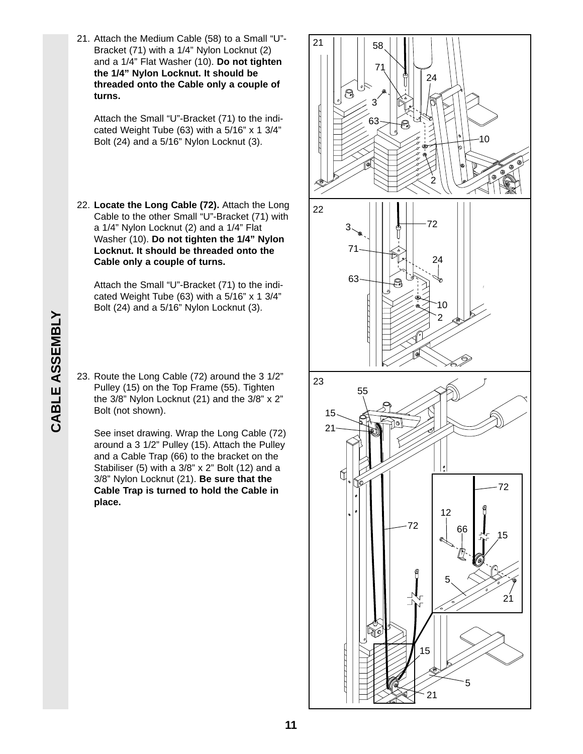CABLE ASSEMBLY **CABLE ASSEMBLY**

21. Attach the Medium Cable (58) to a Small "U"- Bracket (71) with a 1/4" Nylon Locknut (2) and a 1/4" Flat Washer (10). **Do not tighten the 1/4" Nylon Locknut. It should be threaded onto the Cable only a couple of turns.**

Attach the Small "U"-Bracket (71) to the indicated Weight Tube (63) with a 5/16" x 1 3/4" Bolt (24) and a 5/16" Nylon Locknut (3).

22. **Locate the Long Cable (72).** Attach the Long Cable to the other Small "U"-Bracket (71) with a 1/4" Nylon Locknut (2) and a 1/4" Flat Washer (10). **Do not tighten the 1/4" Nylon Locknut. It should be threaded onto the Cable only a couple of turns.**

Attach the Small "U"-Bracket (71) to the indicated Weight Tube (63) with a 5/16" x 1 3/4" Bolt (24) and a 5/16" Nylon Locknut (3).

23. Route the Long Cable (72) around the 3 1/2" Pulley (15) on the Top Frame (55). Tighten the 3/8" Nylon Locknut (21) and the 3/8" x 2" Bolt (not shown).

See inset drawing. Wrap the Long Cable (72) around a 3 1/2" Pulley (15). Attach the Pulley and a Cable Trap (66) to the bracket on the Stabiliser (5) with a 3/8" x 2" Bolt (12) and a 3/8" Nylon Locknut (21). **Be sure that the Cable Trap is turned to hold the Cable in place.** 

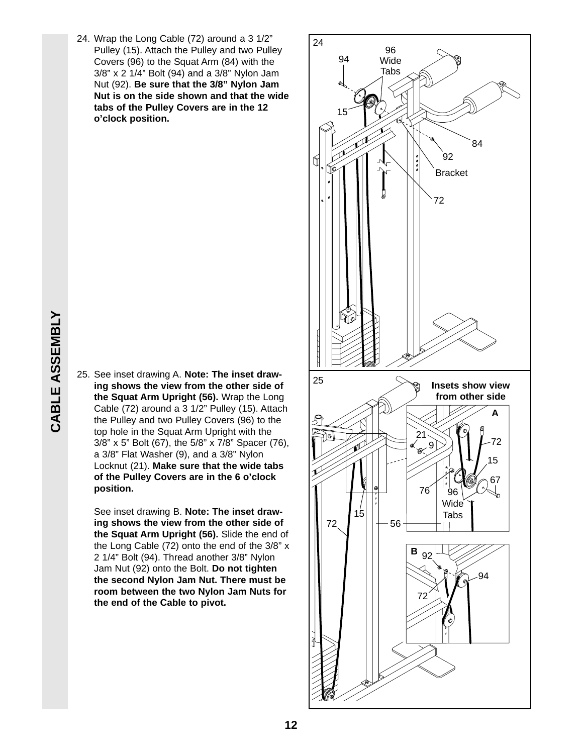24. Wrap the Long Cable (72) around a 3 1/2" Pulley (15). Attach the Pulley and two Pulley Covers (96) to the Squat Arm (84) with the 3/8" x 2 1/4" Bolt (94) and a 3/8" Nylon Jam Nut (92). **Be sure that the 3/8" Nylon Jam Nut is on the side shown and that the wide tabs of the Pulley Covers are in the 12 o'clock position.**

25. See inset drawing A. **Note: The inset drawing shows the view from the other side of the Squat Arm Upright (56).** Wrap the Long Cable (72) around a 3 1/2" Pulley (15). Attach the Pulley and two Pulley Covers (96) to the top hole in the Squat Arm Upright with the 3/8" x 5" Bolt (67), the 5/8" x 7/8" Spacer (76), a 3/8" Flat Washer (9), and a 3/8" Nylon Locknut (21). **Make sure that the wide tabs of the Pulley Covers are in the 6 o'clock position.** 

See inset drawing B. **Note: The inset drawing shows the view from the other side of the Squat Arm Upright (56).** Slide the end of the Long Cable (72) onto the end of the 3/8" x 2 1/4" Bolt (94). Thread another 3/8" Nylon Jam Nut (92) onto the Bolt. **Do not tighten the second Nylon Jam Nut. There must be room between the two Nylon Jam Nuts for the end of the Cable to pivot.**

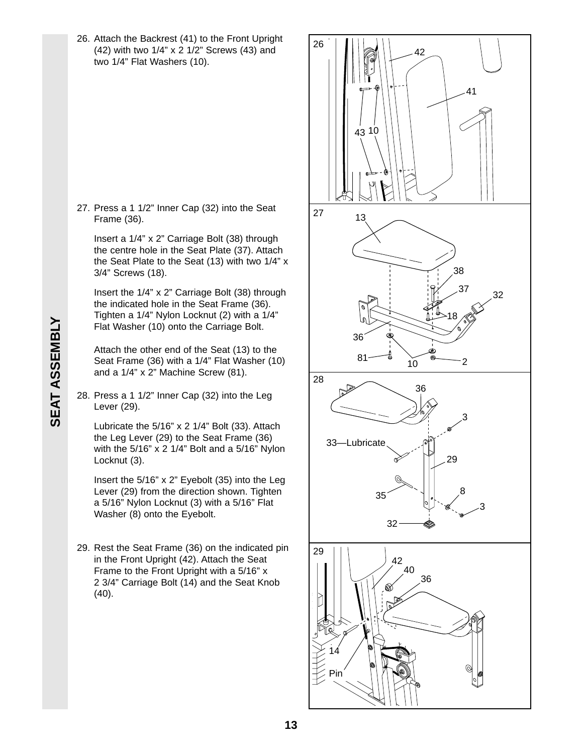26. Attach the Backrest (41) to the Front Upright (42) with two 1/4" x 2 1/2" Screws (43) and two 1/4" Flat Washers (10).

27. Press a 1 1/2" Inner Cap (32) into the Seat Frame (36).

Insert a 1/4" x 2" Carriage Bolt (38) through the centre hole in the Seat Plate (37). Attach the Seat Plate to the Seat (13) with two 1/4" x 3/4" Screws (18).

Insert the 1/4" x 2" Carriage Bolt (38) through the indicated hole in the Seat Frame (36). Tighten a 1/4" Nylon Locknut (2) with a 1/4" Flat Washer (10) onto the Carriage Bolt.

Attach the other end of the Seat (13) to the Seat Frame (36) with a 1/4" Flat Washer (10) and a 1/4" x 2" Machine Screw (81).

28. Press a 1 1/2" Inner Cap (32) into the Leg Lever (29).

Lubricate the 5/16" x 2 1/4" Bolt (33). Attach the Leg Lever (29) to the Seat Frame (36) with the 5/16" x 2 1/4" Bolt and a 5/16" Nylon Locknut (3).

Insert the 5/16" x 2" Eyebolt (35) into the Leg Lever (29) from the direction shown. Tighten a 5/16" Nylon Locknut (3) with a 5/16" Flat Washer (8) onto the Eyebolt.

29. Rest the Seat Frame (36) on the indicated pin in the Front Upright (42). Attach the Seat Frame to the Front Upright with a 5/16" x 2 3/4" Carriage Bolt (14) and the Seat Knob  $(40)$ .

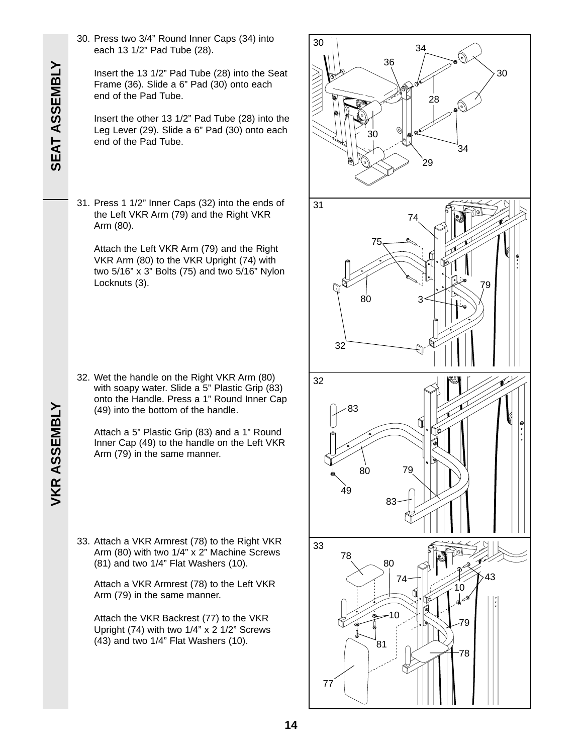- **SEAT ASSEMBLY SEAT ASSEMBLY**
- 30. Press two 3/4" Round Inner Caps (34) into each 13 1/2" Pad Tube (28).

Insert the 13 1/2" Pad Tube (28) into the Seat Frame (36). Slide a 6" Pad (30) onto each end of the Pad Tube.

Insert the other 13 1/2" Pad Tube (28) into the Leg Lever (29). Slide a 6" Pad (30) onto each end of the Pad Tube.

31. Press 1 1/2" Inner Caps (32) into the ends of the Left VKR Arm (79) and the Right VKR Arm (80).

Attach the Left VKR Arm (79) and the Right VKR Arm (80) to the VKR Upright (74) with two 5/16" x 3" Bolts (75) and two 5/16" Nylon Locknuts (3).

32. Wet the handle on the Right VKR Arm (80) with soapy water. Slide a 5" Plastic Grip (83) onto the Handle. Press a 1" Round Inner Cap (49) into the bottom of the handle.

Attach a 5" Plastic Grip (83) and a 1" Round Inner Cap (49) to the handle on the Left VKR Arm (79) in the same manner.

33. Attach a VKR Armrest (78) to the Right VKR Arm (80) with two 1/4" x 2" Machine Screws (81) and two 1/4" Flat Washers (10).

Attach a VKR Armrest (78) to the Left VKR Arm (79) in the same manner.

Attach the VKR Backrest (77) to the VKR Upright (74) with two 1/4" x 2 1/2" Screws (43) and two 1/4" Flat Washers (10).

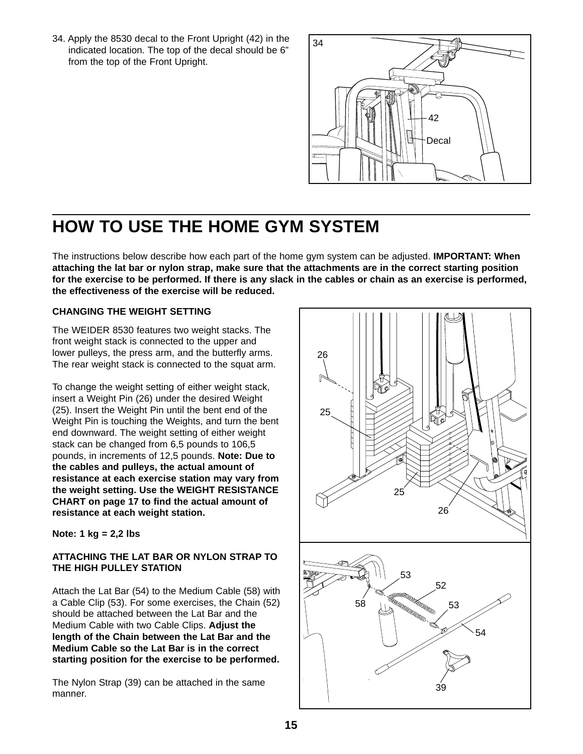34. Apply the 8530 decal to the Front Upright (42) in the indicated location. The top of the decal should be 6" from the top of the Front Upright.



## **HOW TO USE THE HOME GYM SYSTEM**

The instructions below describe how each part of the home gym system can be adjusted. **IMPORTANT: When attaching the lat bar or nylon strap, make sure that the attachments are in the correct starting position for the exercise to be performed. If there is any slack in the cables or chain as an exercise is performed, the effectiveness of the exercise will be reduced.** 

#### **CHANGING THE WEIGHT SETTING**

The WEIDER 8530 features two weight stacks. The front weight stack is connected to the upper and lower pulleys, the press arm, and the butterfly arms. The rear weight stack is connected to the squat arm.

To change the weight setting of either weight stack, insert a Weight Pin (26) under the desired Weight (25). Insert the Weight Pin until the bent end of the Weight Pin is touching the Weights, and turn the bent end downward. The weight setting of either weight stack can be changed from 6,5 pounds to 106,5 pounds, in increments of 12,5 pounds. **Note: Due to the cables and pulleys, the actual amount of resistance at each exercise station may vary from the weight setting. Use the WEIGHT RESISTANCE CHART on page 17 to find the actual amount of resistance at each weight station.**

**Note: 1 kg = 2,2 lbs**

#### **ATTACHING THE LAT BAR OR NYLON STRAP TO THE HIGH PULLEY STATION**

Attach the Lat Bar (54) to the Medium Cable (58) with a Cable Clip (53). For some exercises, the Chain (52) should be attached between the Lat Bar and the Medium Cable with two Cable Clips. **Adjust the length of the Chain between the Lat Bar and the Medium Cable so the Lat Bar is in the correct starting position for the exercise to be performed.**

The Nylon Strap (39) can be attached in the same manner.

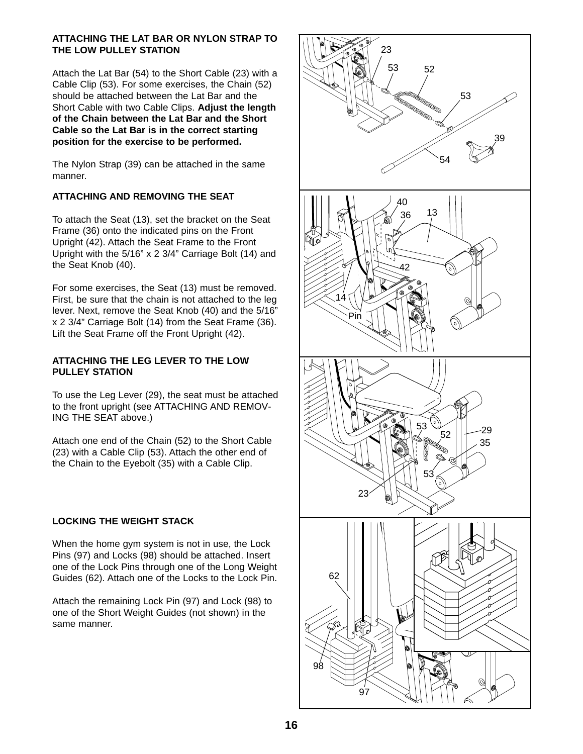#### **ATTACHING THE LAT BAR OR NYLON STRAP TO THE LOW PULLEY STATION**

Attach the Lat Bar (54) to the Short Cable (23) with a Cable Clip (53). For some exercises, the Chain (52) should be attached between the Lat Bar and the Short Cable with two Cable Clips. **Adjust the length of the Chain between the Lat Bar and the Short Cable so the Lat Bar is in the correct starting position for the exercise to be performed.**

The Nylon Strap (39) can be attached in the same manner.

#### **ATTACHING AND REMOVING THE SEAT**

To attach the Seat (13), set the bracket on the Seat Frame (36) onto the indicated pins on the Front Upright (42). Attach the Seat Frame to the Front Upright with the 5/16" x 2 3/4" Carriage Bolt (14) and the Seat Knob (40).

For some exercises, the Seat (13) must be removed. First, be sure that the chain is not attached to the leg lever. Next, remove the Seat Knob (40) and the 5/16" x 2 3/4" Carriage Bolt (14) from the Seat Frame (36). Lift the Seat Frame off the Front Upright (42).

#### **ATTACHING THE LEG LEVER TO THE LOW PULLEY STATION**

To use the Leg Lever (29), the seat must be attached to the front upright (see ATTACHING AND REMOV-ING THE SEAT above.)

Attach one end of the Chain (52) to the Short Cable (23) with a Cable Clip (53). Attach the other end of the Chain to the Eyebolt (35) with a Cable Clip.

#### **LOCKING THE WEIGHT STACK**

When the home gym system is not in use, the Lock Pins (97) and Locks (98) should be attached. Insert one of the Lock Pins through one of the Long Weight Guides (62). Attach one of the Locks to the Lock Pin.

Attach the remaining Lock Pin (97) and Lock (98) to one of the Short Weight Guides (not shown) in the same manner.

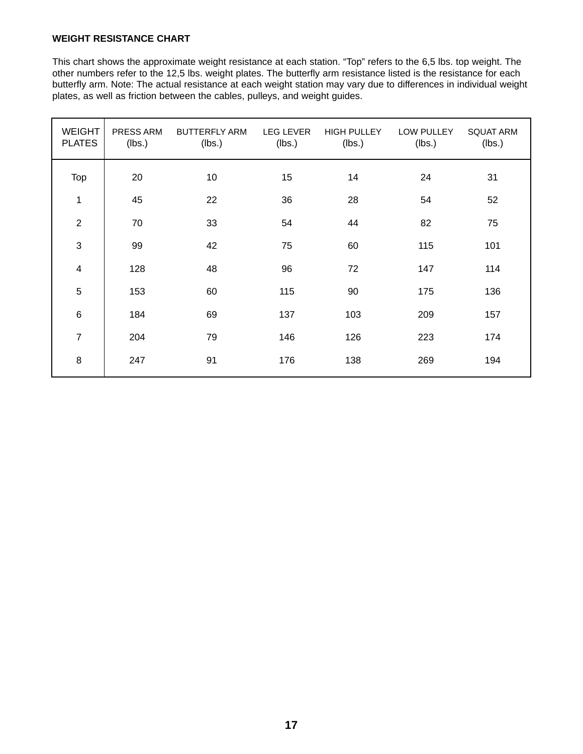#### **WEIGHT RESISTANCE CHART**

This chart shows the approximate weight resistance at each station. "Top" refers to the 6,5 lbs. top weight. The other numbers refer to the 12,5 lbs. weight plates. The butterfly arm resistance listed is the resistance for each butterfly arm. Note: The actual resistance at each weight station may vary due to differences in individual weight plates, as well as friction between the cables, pulleys, and weight guides.

| <b>WEIGHT</b><br><b>PLATES</b> | PRESS ARM<br>(lbs.) | <b>BUTTERFLY ARM</b><br>(lbs.) | <b>LEG LEVER</b><br>(lbs.) | <b>HIGH PULLEY</b><br>(lbs.) | LOW PULLEY<br>(lbs.) | <b>SQUAT ARM</b><br>(lbs.) |
|--------------------------------|---------------------|--------------------------------|----------------------------|------------------------------|----------------------|----------------------------|
| Top                            | 20                  | 10                             | 15                         | 14                           | 24                   | 31                         |
| 1                              | 45                  | 22                             | 36                         | 28                           | 54                   | 52                         |
| $\overline{2}$                 | 70                  | 33                             | 54                         | 44                           | 82                   | 75                         |
| $\sqrt{3}$                     | 99                  | 42                             | 75                         | 60                           | 115                  | 101                        |
| 4                              | 128                 | 48                             | 96                         | 72                           | 147                  | 114                        |
| $\overline{5}$                 | 153                 | 60                             | 115                        | 90                           | 175                  | 136                        |
| $\,6$                          | 184                 | 69                             | 137                        | 103                          | 209                  | 157                        |
| $\overline{7}$                 | 204                 | 79                             | 146                        | 126                          | 223                  | 174                        |
| $\bf 8$                        | 247                 | 91                             | 176                        | 138                          | 269                  | 194                        |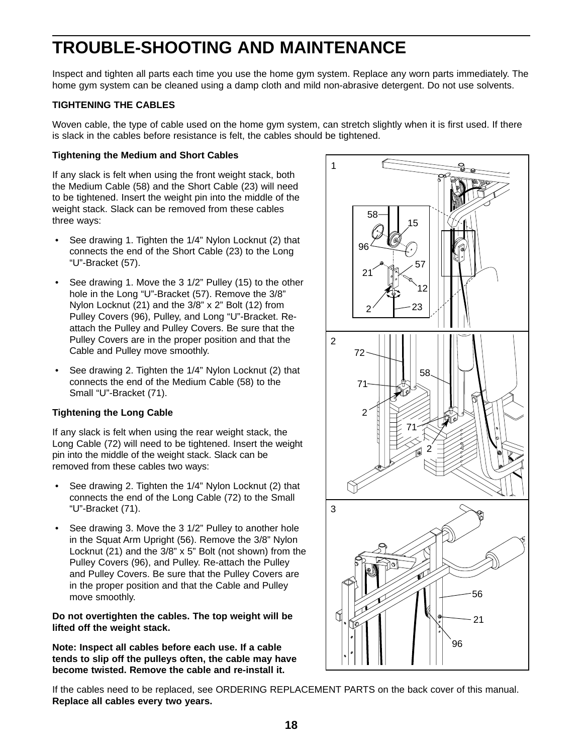## **TROUBLE-SHOOTING AND MAINTENANCE**

Inspect and tighten all parts each time you use the home gym system. Replace any worn parts immediately. The home gym system can be cleaned using a damp cloth and mild non-abrasive detergent. Do not use solvents.

#### **TIGHTENING THE CABLES**

Woven cable, the type of cable used on the home gym system, can stretch slightly when it is first used. If there is slack in the cables before resistance is felt, the cables should be tightened.

#### **Tightening the Medium and Short Cables**

If any slack is felt when using the front weight stack, both the Medium Cable (58) and the Short Cable (23) will need to be tightened. Insert the weight pin into the middle of the weight stack. Slack can be removed from these cables three ways:

- See drawing 1. Tighten the 1/4" Nylon Locknut (2) that connects the end of the Short Cable (23) to the Long "U"-Bracket (57).
- See drawing 1. Move the 3 1/2" Pulley (15) to the other hole in the Long "U"-Bracket (57). Remove the 3/8" Nylon Locknut (21) and the 3/8" x 2" Bolt (12) from Pulley Covers (96), Pulley, and Long "U"-Bracket. Reattach the Pulley and Pulley Covers. Be sure that the Pulley Covers are in the proper position and that the Cable and Pulley move smoothly.
- See drawing 2. Tighten the 1/4" Nylon Locknut (2) that connects the end of the Medium Cable (58) to the Small "U"-Bracket (71).

#### **Tightening the Long Cable**

If any slack is felt when using the rear weight stack, the Long Cable (72) will need to be tightened. Insert the weight pin into the middle of the weight stack. Slack can be removed from these cables two ways:

- See drawing 2. Tighten the 1/4" Nylon Locknut (2) that connects the end of the Long Cable (72) to the Small "U"-Bracket (71).
- See drawing 3. Move the 3 1/2" Pulley to another hole in the Squat Arm Upright (56). Remove the 3/8" Nylon Locknut (21) and the 3/8" x 5" Bolt (not shown) from the Pulley Covers (96), and Pulley. Re-attach the Pulley and Pulley Covers. Be sure that the Pulley Covers are in the proper position and that the Cable and Pulley move smoothly.

**Do not overtighten the cables. The top weight will be lifted off the weight stack.**

**Note: Inspect all cables before each use. If a cable tends to slip off the pulleys often, the cable may have become twisted. Remove the cable and re-install it.**



If the cables need to be replaced, see ORDERING REPLACEMENT PARTS on the back cover of this manual. **Replace all cables every two years.**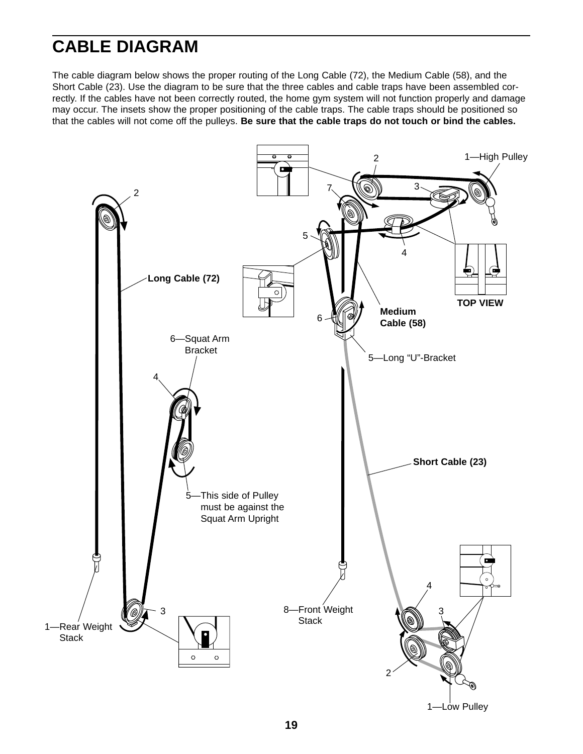## **CABLE DIAGRAM**

The cable diagram below shows the proper routing of the Long Cable (72), the Medium Cable (58), and the Short Cable (23). Use the diagram to be sure that the three cables and cable traps have been assembled correctly. If the cables have not been correctly routed, the home gym system will not function properly and damage may occur. The insets show the proper positioning of the cable traps. The cable traps should be positioned so that the cables will not come off the pulleys. **Be sure that the cable traps do not touch or bind the cables.**

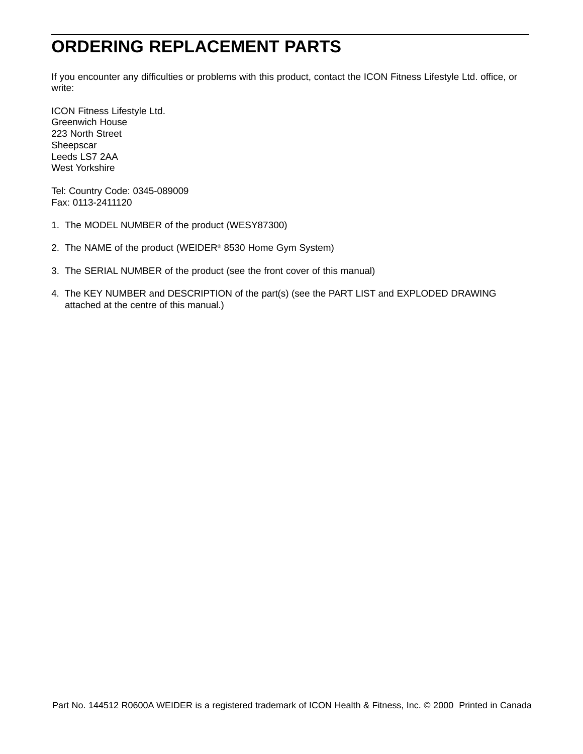## **ORDERING REPLACEMENT PARTS**

If you encounter any difficulties or problems with this product, contact the ICON Fitness Lifestyle Ltd. office, or write:

ICON Fitness Lifestyle Ltd. Greenwich House 223 North Street Sheepscar Leeds LS7 2AA West Yorkshire

Tel: Country Code: 0345-089009 Fax: 0113-2411120

- 1. The MODEL NUMBER of the product (WESY87300)
- 2. The NAME of the product (WEIDER® 8530 Home Gym System)
- 3. The SERIAL NUMBER of the product (see the front cover of this manual)
- 4. The KEY NUMBER and DESCRIPTION of the part(s) (see the PART LIST and EXPLODED DRAWING attached at the centre of this manual.)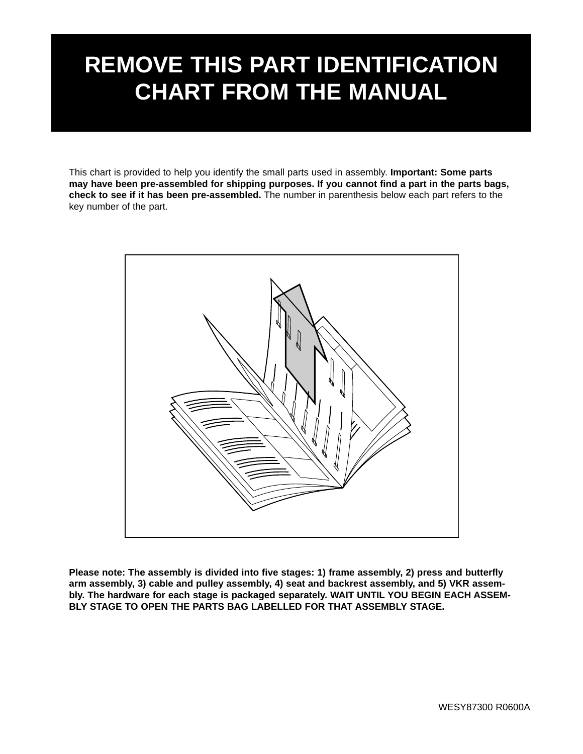# **REMOVE THIS PART IDENTIFICATION CHART FROM THE MANUAL**

This chart is provided to help you identify the small parts used in assembly. **Important: Some parts may have been pre-assembled for shipping purposes. If you cannot find a part in the parts bags, check to see if it has been pre-assembled.** The number in parenthesis below each part refers to the key number of the part.



**Please note: The assembly is divided into five stages: 1) frame assembly, 2) press and butterfly arm assembly, 3) cable and pulley assembly, 4) seat and backrest assembly, and 5) VKR assembly. The hardware for each stage is packaged separately. WAIT UNTIL YOU BEGIN EACH ASSEM-BLY STAGE TO OPEN THE PARTS BAG LABELLED FOR THAT ASSEMBLY STAGE.**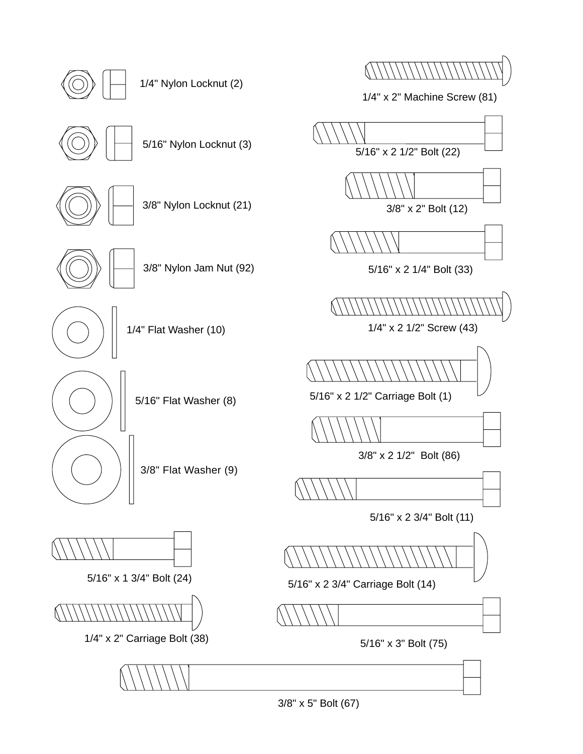3/8" x 5" Bolt (67)

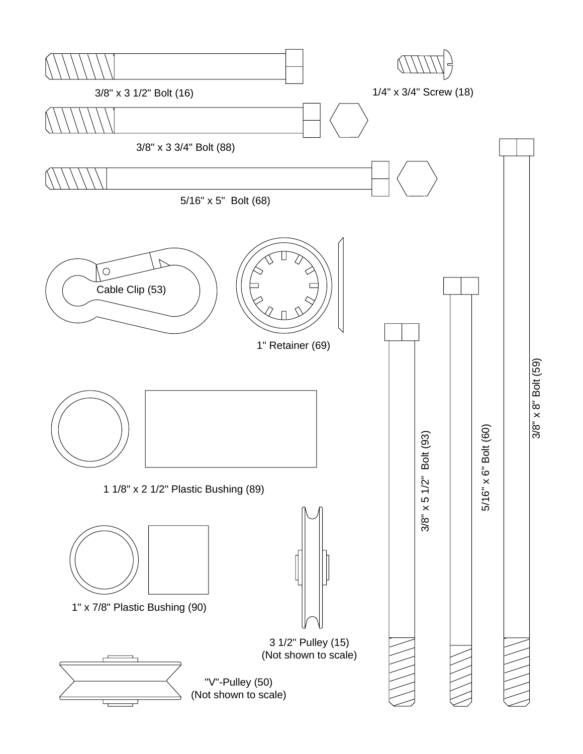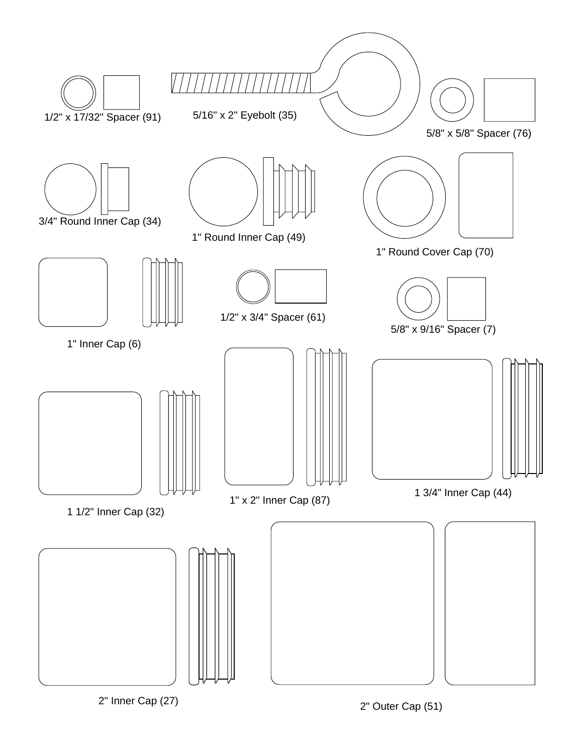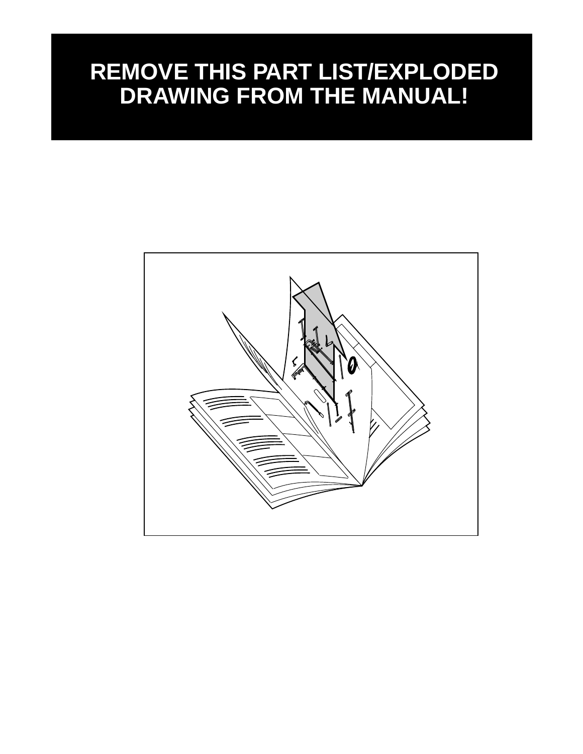## **REMOVE THIS PART LIST/EXPLODED DRAWING FROM THE MANUAL!**

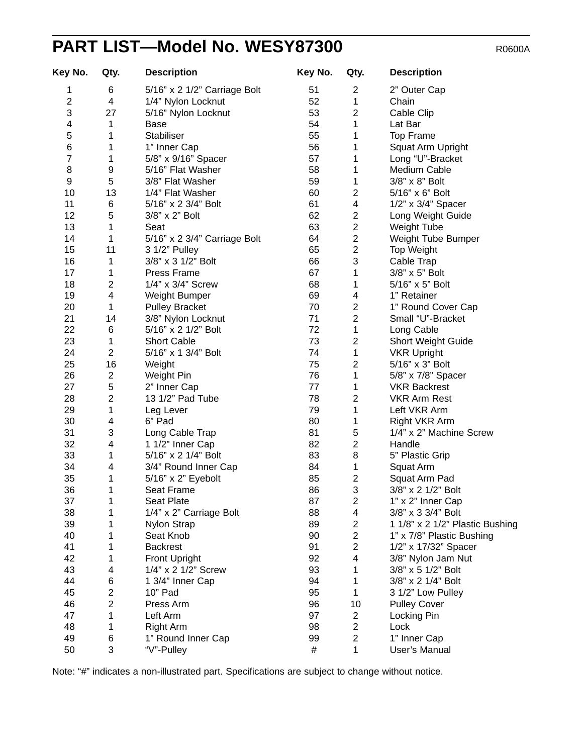## PART LIST-Model No. WESY87300 R0600A

| Key No.                 | Qty.                    | <b>Description</b>           | Key No. | Qty.                    | <b>Description</b>              |
|-------------------------|-------------------------|------------------------------|---------|-------------------------|---------------------------------|
| 1                       | 6                       | 5/16" x 2 1/2" Carriage Bolt | 51      | $\overline{\mathbf{c}}$ | 2" Outer Cap                    |
| $\overline{c}$          | 4                       | 1/4" Nylon Locknut           | 52      | 1                       | Chain                           |
| 3                       | 27                      | 5/16" Nylon Locknut          | 53      | 2                       | Cable Clip                      |
| $\overline{\mathbf{4}}$ | 1                       | Base                         | 54      | 1                       | Lat Bar                         |
| 5                       | 1                       | Stabiliser                   | 55      | 1                       | <b>Top Frame</b>                |
| $\,6$                   | 1                       | 1" Inner Cap                 | 56      | 1                       | Squat Arm Upright               |
| $\overline{7}$          | 1                       | 5/8" x 9/16" Spacer          | 57      | 1                       | Long "U"-Bracket                |
| 8                       | 9                       | 5/16" Flat Washer            | 58      | 1                       | Medium Cable                    |
| 9                       | 5                       | 3/8" Flat Washer             | 59      | 1                       | 3/8" x 8" Bolt                  |
| 10                      | 13                      | 1/4" Flat Washer             | 60      | $\overline{\mathbf{c}}$ | 5/16" x 6" Bolt                 |
| 11                      | 6                       | 5/16" x 2 3/4" Bolt          | 61      | $\overline{\mathbf{4}}$ | 1/2" x 3/4" Spacer              |
| 12                      | 5                       | 3/8" x 2" Bolt               | 62      | $\overline{\mathbf{c}}$ | Long Weight Guide               |
| 13                      | 1                       | Seat                         | 63      | $\overline{c}$          | <b>Weight Tube</b>              |
| 14                      | 1                       | 5/16" x 2 3/4" Carriage Bolt | 64      | $\overline{\mathbf{c}}$ | Weight Tube Bumper              |
| 15                      | 11                      | 3 1/2" Pulley                | 65      | $\overline{c}$          | Top Weight                      |
| 16                      | 1                       | 3/8" x 3 1/2" Bolt           | 66      | 3                       | Cable Trap                      |
| 17                      | 1                       | Press Frame                  | 67      | 1                       | 3/8" x 5" Bolt                  |
| 18                      | 2                       | 1/4" x 3/4" Screw            | 68      | 1                       | 5/16" x 5" Bolt                 |
| 19                      | $\overline{\mathbf{4}}$ | Weight Bumper                | 69      | 4                       | 1" Retainer                     |
| 20                      | 1                       | <b>Pulley Bracket</b>        | 70      | $\overline{\mathbf{c}}$ | 1" Round Cover Cap              |
| 21                      | 14                      | 3/8" Nylon Locknut           | 71      | $\overline{c}$          | Small "U"-Bracket               |
| 22                      | 6                       | 5/16" x 2 1/2" Bolt          | 72      | 1                       | Long Cable                      |
| 23                      | 1                       | <b>Short Cable</b>           | 73      | 2                       | Short Weight Guide              |
| 24                      | $\overline{2}$          | 5/16" x 1 3/4" Bolt          | 74      | 1                       |                                 |
| 25                      | 16                      |                              | 75      |                         | <b>VKR Upright</b>              |
|                         |                         | Weight                       | 76      | 2                       | 5/16" x 3" Bolt                 |
| 26                      | 2                       | Weight Pin                   |         | 1                       | 5/8" x 7/8" Spacer              |
| 27                      | 5                       | 2" Inner Cap                 | 77      | 1                       | <b>VKR Backrest</b>             |
| 28                      | $\overline{c}$          | 13 1/2" Pad Tube             | 78      | 2                       | <b>VKR Arm Rest</b>             |
| 29                      | 1                       | Leg Lever                    | 79      | 1                       | Left VKR Arm                    |
| 30                      | 4                       | 6" Pad                       | 80      | 1                       | Right VKR Arm                   |
| 31                      | 3                       | Long Cable Trap              | 81      | 5                       | 1/4" x 2" Machine Screw         |
| 32                      | 4                       | 1 1/2" Inner Cap             | 82      | $\overline{\mathbf{c}}$ | Handle                          |
| 33                      | 1                       | 5/16" x 2 1/4" Bolt          | 83      | 8                       | 5" Plastic Grip                 |
| 34                      | 4                       | 3/4" Round Inner Cap         | 84      | 1                       | Squat Arm                       |
| 35                      | 1                       | 5/16" x 2" Eyebolt           | 85      | $\overline{\mathbf{c}}$ | Squat Arm Pad                   |
| 36                      | 1                       | Seat Frame                   | 86      | 3                       | 3/8" x 2 1/2" Bolt              |
| 37                      | 1                       | Seat Plate                   | 87      | $\overline{c}$          | 1" x 2" Inner Cap               |
| 38                      | 1                       | 1/4" x 2" Carriage Bolt      | 88      | $\overline{\mathbf{4}}$ | 3/8" x 3 3/4" Bolt              |
| 39                      | 1                       | Nylon Strap                  | 89      | $\overline{\mathbf{c}}$ | 1 1/8" x 2 1/2" Plastic Bushing |
| 40                      | 1                       | Seat Knob                    | 90      | $\overline{c}$          | 1" x 7/8" Plastic Bushing       |
| 41                      | 1                       | <b>Backrest</b>              | 91      | $\overline{c}$          | 1/2" x 17/32" Spacer            |
| 42                      | 1                       | Front Upright                | 92      | $\overline{\mathbf{4}}$ | 3/8" Nylon Jam Nut              |
| 43                      | 4                       | 1/4" x 2 1/2" Screw          | 93      | 1                       | 3/8" x 5 1/2" Bolt              |
| 44                      | 6                       | 1 3/4" Inner Cap             | 94      | 1                       | 3/8" x 2 1/4" Bolt              |
| 45                      | $\overline{2}$          | 10" Pad                      | 95      | 1                       | 3 1/2" Low Pulley               |
| 46                      | $\overline{2}$          | Press Arm                    | 96      | 10                      | <b>Pulley Cover</b>             |
| 47                      | 1                       | Left Arm                     | 97      | $\overline{c}$          | Locking Pin                     |
| 48                      | 1                       | Right Arm                    | 98      | $\overline{\mathbf{c}}$ | Lock                            |
| 49                      | 6                       | 1" Round Inner Cap           | 99      | $\overline{c}$          | 1" Inner Cap                    |
| 50                      | 3                       | "V"-Pulley                   | #       | 1                       | User's Manual                   |

Note: "#" indicates a non-illustrated part. Specifications are subject to change without notice.